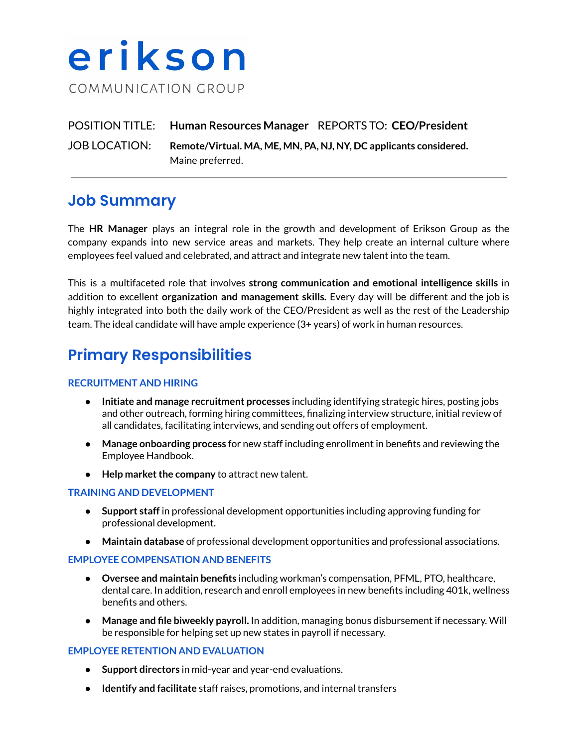# erikson COMMUNICATION GROUP

### POSITION TITLE: **Human Resources Manager** REPORTS TO: **CEO/President** JOB LOCATION: **Remote/Virtual. MA, ME, MN, PA, NJ, NY, DC applicants considered.** Maine preferred.

## **Job Summary**

The **HR Manager** plays an integral role in the growth and development of Erikson Group as the company expands into new service areas and markets. They help create an internal culture where employees feel valued and celebrated, and attract and integrate new talent into the team.

This is a multifaceted role that involves **strong communication and emotional intelligence skills** in addition to excellent **organization and management skills.** Every day will be different and the job is highly integrated into both the daily work of the CEO/President as well as the rest of the Leadership team. The ideal candidate will have ample experience (3+ years) of work in human resources.

# **Primary Responsibilities**

#### **RECRUITMENT AND HIRING**

- **● Initiate and manage recruitment processes** including identifying strategic hires, posting jobs and other outreach, forming hiring committees, finalizing interview structure, initial review of all candidates, facilitating interviews, and sending out offers of employment.
- **● Manage onboarding process** for new staff including enrollment in benefits and reviewing the Employee Handbook.
- **• Help** market the company to attract new talent.

#### **TRAINING AND DEVELOPMENT**

- **Support staff** in professional development opportunities including approving funding for professional development.
- **Maintain database** of professional development opportunities and professional associations.

#### **EMPLOYEE COMPENSATION AND BENEFITS**

- **Oversee and maintain benefits** including workman's compensation, PFML, PTO, healthcare, dental care. In addition, research and enroll employees in new benefits including 401k, wellness benefits and others.
- **Manage and file biweekly payroll.** In addition, managing bonus disbursement if necessary. Will be responsible for helping set up new states in payroll if necessary.

#### **EMPLOYEE RETENTION AND EVALUATION**

- **Support directors** in mid-year and year-end evaluations.
- **Identify and facilitate** staff raises, promotions, and internal transfers